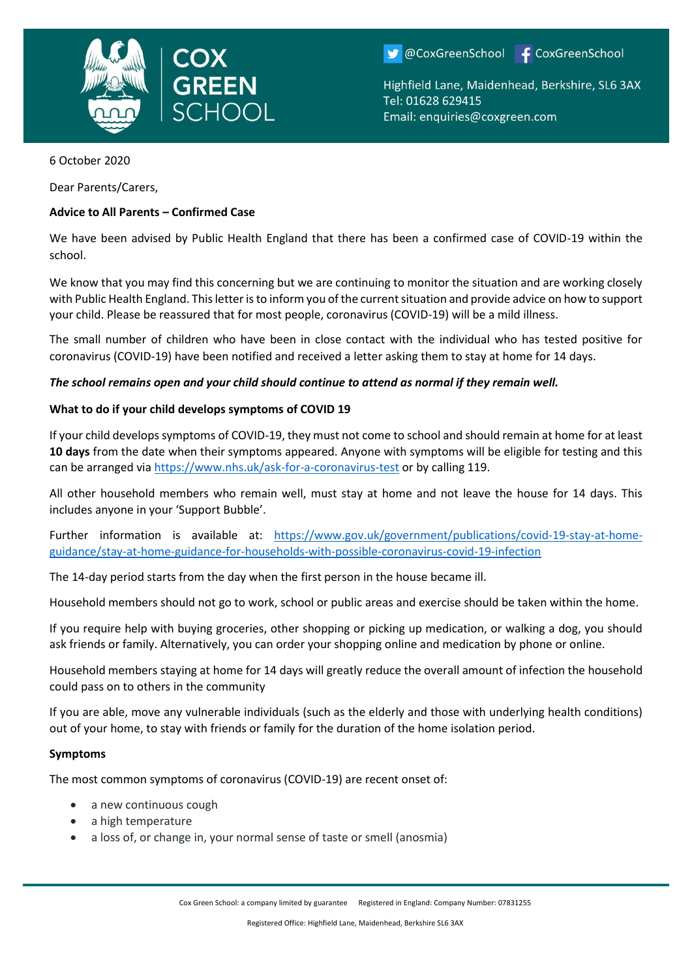

OCoxGreenSchool F CoxGreenSchool

Highfield Lane, Maidenhead, Berkshire, SL6 3AX Tel: 01628 629415 Email: enquiries@coxgreen.com

6 October 2020

Dear Parents/Carers,

# **Advice to All Parents – Confirmed Case**

We have been advised by Public Health England that there has been a confirmed case of COVID-19 within the school.

We know that you may find this concerning but we are continuing to monitor the situation and are working closely with Public Health England. This letter is to inform you of the current situation and provide advice on how to support your child. Please be reassured that for most people, coronavirus (COVID-19) will be a mild illness.

The small number of children who have been in close contact with the individual who has tested positive for coronavirus (COVID-19) have been notified and received a letter asking them to stay at home for 14 days.

# *The school remains open and your child should continue to attend as normal if they remain well.*

## **What to do if your child develops symptoms of COVID 19**

If your child develops symptoms of COVID-19, they must not come to school and should remain at home for at least **10 days** from the date when their symptoms appeared. Anyone with symptoms will be eligible for testing and this can be arranged vi[a https://www.nhs.uk/ask-for-a-coronavirus-test](https://www.nhs.uk/ask-for-a-coronavirus-test) or by calling 119.

All other household members who remain well, must stay at home and not leave the house for 14 days. This includes anyone in your 'Support Bubble'.

Further information is available at: [https://www.gov.uk/government/publications/covid-19-stay-at-home](https://www.gov.uk/government/publications/covid-19-stay-at-home-guidance/stay-at-home-guidance-for-households-with-possible-coronavirus-covid-19-infection)[guidance/stay-at-home-guidance-for-households-with-possible-coronavirus-covid-19-infection](https://www.gov.uk/government/publications/covid-19-stay-at-home-guidance/stay-at-home-guidance-for-households-with-possible-coronavirus-covid-19-infection)

The 14-day period starts from the day when the first person in the house became ill.

Household members should not go to work, school or public areas and exercise should be taken within the home.

If you require help with buying groceries, other shopping or picking up medication, or walking a dog, you should ask friends or family. Alternatively, you can order your shopping online and medication by phone or online.

Household members staying at home for 14 days will greatly reduce the overall amount of infection the household could pass on to others in the community

If you are able, move any vulnerable individuals (such as the elderly and those with underlying health conditions) out of your home, to stay with friends or family for the duration of the home isolation period.

#### **Symptoms**

The most common symptoms of coronavirus (COVID-19) are recent onset of:

- a new continuous cough
- a high temperature
- a loss of, or change in, your normal sense of taste or smell (anosmia)